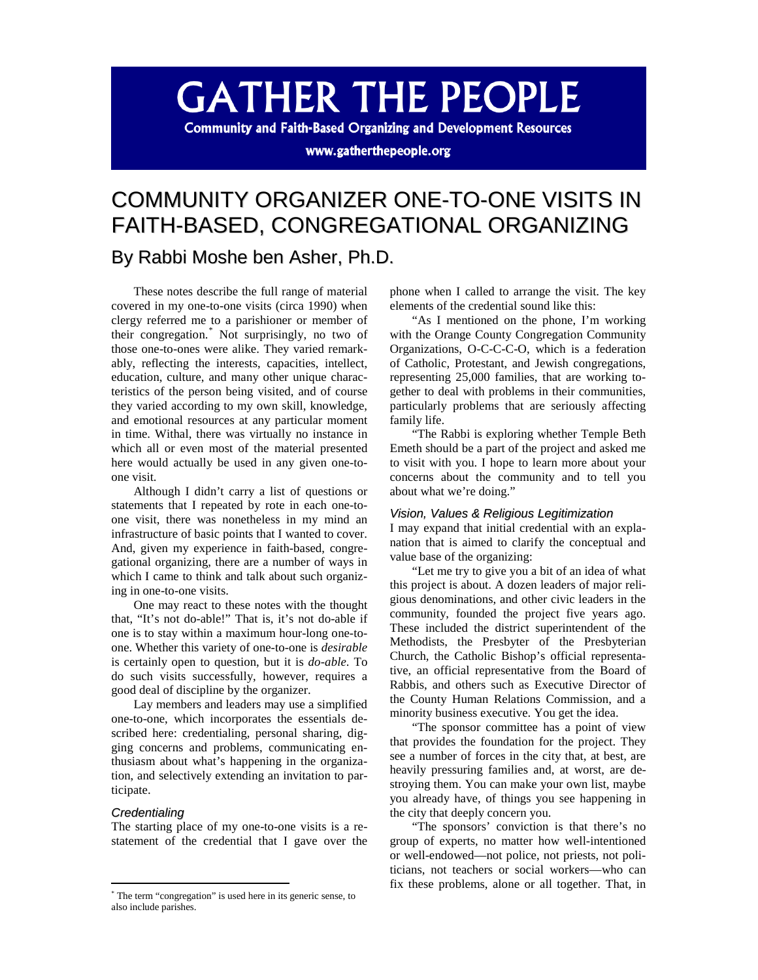# **GATHER THE PEOPLE**

**Community and Faith-Based Organizing and Development Resources** 

www.gatherthepeople.org

## COMMUNITY ORGANIZER ONE-TO-ONE VISITS IN FAITH-BASED, CONGREGATIONAL ORGANIZING

### By Rabbi Moshe ben Asher, Ph.D.

These notes describe the full range of material covered in my one-to-one visits (circa 1990) when clergy referred me to a parishioner or member of their congregation. [\\*](#page-0-0) Not surprisingly, no two of those one-to-ones were alike. They varied remarkably, reflecting the interests, capacities, intellect, education, culture, and many other unique characteristics of the person being visited, and of course they varied according to my own skill, knowledge, and emotional resources at any particular moment in time. Withal, there was virtually no instance in which all or even most of the material presented here would actually be used in any given one-toone visit.

Although I didn't carry a list of questions or statements that I repeated by rote in each one-toone visit, there was nonetheless in my mind an infrastructure of basic points that I wanted to cover. And, given my experience in faith-based, congregational organizing, there are a number of ways in which I came to think and talk about such organizing in one-to-one visits.

One may react to these notes with the thought that, "It's not do-able!" That is, it's not do-able if one is to stay within a maximum hour-long one-toone. Whether this variety of one-to-one is *desirable* is certainly open to question, but it is *do-able*. To do such visits successfully, however, requires a good deal of discipline by the organizer.

Lay members and leaders may use a simplified one-to-one, which incorporates the essentials described here: credentialing, personal sharing, digging concerns and problems, communicating enthusiasm about what's happening in the organization, and selectively extending an invitation to participate.

#### *Credentialing*

The starting place of my one-to-one visits is a restatement of the credential that I gave over the phone when I called to arrange the visit. The key elements of the credential sound like this:

"As I mentioned on the phone, I'm working with the Orange County Congregation Community Organizations, O-C-C-C-O, which is a federation of Catholic, Protestant, and Jewish congregations, representing 25,000 families, that are working together to deal with problems in their communities, particularly problems that are seriously affecting family life.

"The Rabbi is exploring whether Temple Beth Emeth should be a part of the project and asked me to visit with you. I hope to learn more about your concerns about the community and to tell you about what we're doing."

#### *Vision, Values & Religious Legitimization*

I may expand that initial credential with an explanation that is aimed to clarify the conceptual and value base of the organizing:

"Let me try to give you a bit of an idea of what this project is about. A dozen leaders of major religious denominations, and other civic leaders in the community, founded the project five years ago. These included the district superintendent of the Methodists, the Presbyter of the Presbyterian Church, the Catholic Bishop's official representative, an official representative from the Board of Rabbis, and others such as Executive Director of the County Human Relations Commission, and a minority business executive. You get the idea.

"The sponsor committee has a point of view that provides the foundation for the project. They see a number of forces in the city that, at best, are heavily pressuring families and, at worst, are destroying them. You can make your own list, maybe you already have, of things you see happening in the city that deeply concern you.

"The sponsors' conviction is that there's no group of experts, no matter how well-intentioned or well-endowed—not police, not priests, not politicians, not teachers or social workers—who can fix these problems, alone or all together. That, in

<span id="page-0-0"></span> <sup>\*</sup> The term "congregation" is used here in its generic sense, to also include parishes.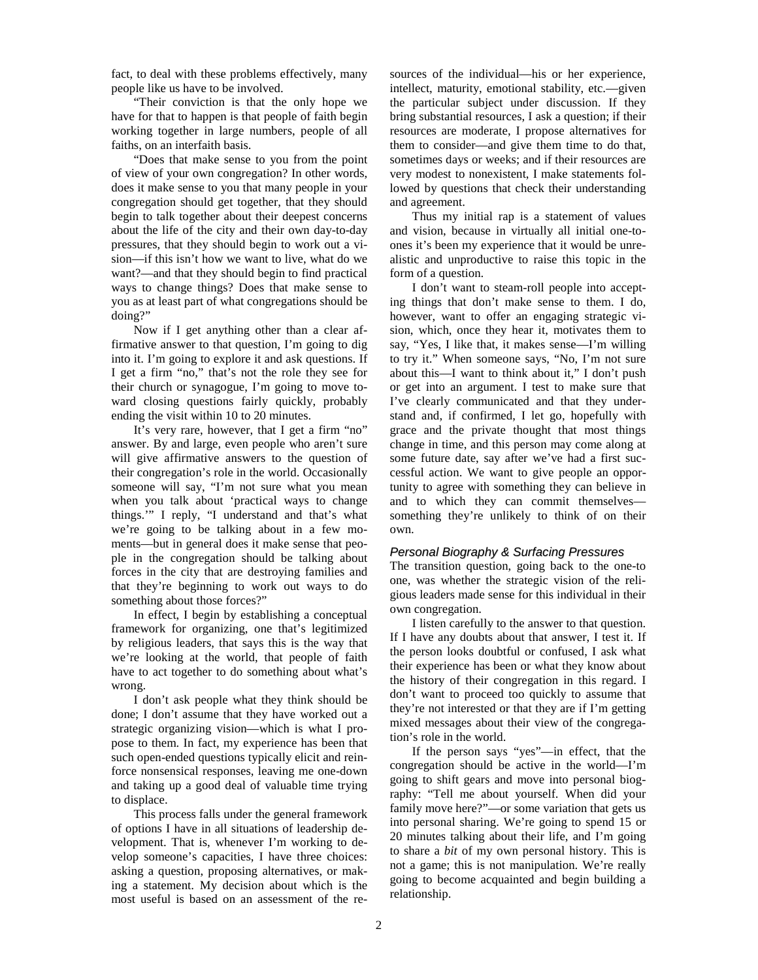fact, to deal with these problems effectively, many people like us have to be involved.

"Their conviction is that the only hope we have for that to happen is that people of faith begin working together in large numbers, people of all faiths, on an interfaith basis.

"Does that make sense to you from the point of view of your own congregation? In other words, does it make sense to you that many people in your congregation should get together, that they should begin to talk together about their deepest concerns about the life of the city and their own day-to-day pressures, that they should begin to work out a vision—if this isn't how we want to live, what do we want?—and that they should begin to find practical ways to change things? Does that make sense to you as at least part of what congregations should be doing?"

Now if I get anything other than a clear affirmative answer to that question, I'm going to dig into it. I'm going to explore it and ask questions. If I get a firm "no," that's not the role they see for their church or synagogue, I'm going to move toward closing questions fairly quickly, probably ending the visit within 10 to 20 minutes.

It's very rare, however, that I get a firm "no" answer. By and large, even people who aren't sure will give affirmative answers to the question of their congregation's role in the world. Occasionally someone will say, "I'm not sure what you mean when you talk about 'practical ways to change things.'" I reply, "I understand and that's what we're going to be talking about in a few moments—but in general does it make sense that people in the congregation should be talking about forces in the city that are destroying families and that they're beginning to work out ways to do something about those forces?"

In effect, I begin by establishing a conceptual framework for organizing, one that's legitimized by religious leaders, that says this is the way that we're looking at the world, that people of faith have to act together to do something about what's wrong.

I don't ask people what they think should be done; I don't assume that they have worked out a strategic organizing vision—which is what I propose to them. In fact, my experience has been that such open-ended questions typically elicit and reinforce nonsensical responses, leaving me one-down and taking up a good deal of valuable time trying to displace.

This process falls under the general framework of options I have in all situations of leadership development. That is, whenever I'm working to develop someone's capacities, I have three choices: asking a question, proposing alternatives, or making a statement. My decision about which is the most useful is based on an assessment of the resources of the individual—his or her experience, intellect, maturity, emotional stability, etc.—given the particular subject under discussion. If they bring substantial resources, I ask a question; if their resources are moderate, I propose alternatives for them to consider—and give them time to do that, sometimes days or weeks; and if their resources are very modest to nonexistent, I make statements followed by questions that check their understanding and agreement.

Thus my initial rap is a statement of values and vision, because in virtually all initial one-toones it's been my experience that it would be unrealistic and unproductive to raise this topic in the form of a question.

I don't want to steam-roll people into accepting things that don't make sense to them. I do, however, want to offer an engaging strategic vision, which, once they hear it, motivates them to say, "Yes, I like that, it makes sense—I'm willing to try it." When someone says, "No, I'm not sure about this—I want to think about it," I don't push or get into an argument. I test to make sure that I've clearly communicated and that they understand and, if confirmed, I let go, hopefully with grace and the private thought that most things change in time, and this person may come along at some future date, say after we've had a first successful action. We want to give people an opportunity to agree with something they can believe in and to which they can commit themselves something they're unlikely to think of on their own.

#### *Personal Biography & Surfacing Pressures*

The transition question, going back to the one-to one, was whether the strategic vision of the religious leaders made sense for this individual in their own congregation.

I listen carefully to the answer to that question. If I have any doubts about that answer, I test it. If the person looks doubtful or confused, I ask what their experience has been or what they know about the history of their congregation in this regard. I don't want to proceed too quickly to assume that they're not interested or that they are if I'm getting mixed messages about their view of the congregation's role in the world.

If the person says "yes"—in effect, that the congregation should be active in the world—I'm going to shift gears and move into personal biography: "Tell me about yourself. When did your family move here?"—or some variation that gets us into personal sharing. We're going to spend 15 or 20 minutes talking about their life, and I'm going to share a *bit* of my own personal history. This is not a game; this is not manipulation. We're really going to become acquainted and begin building a relationship.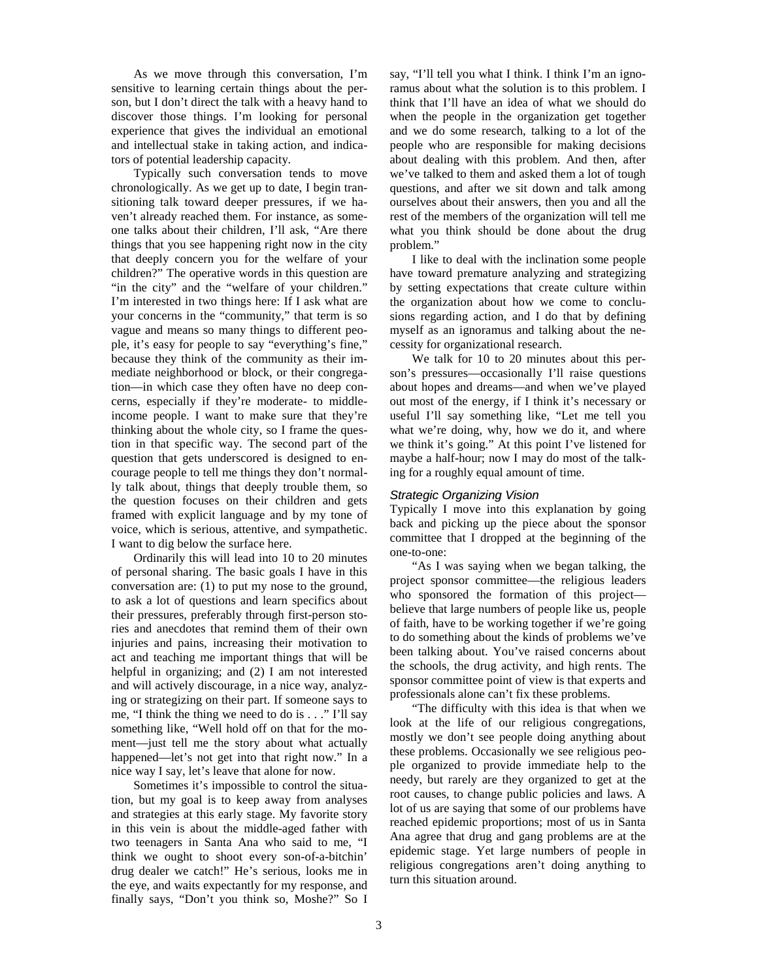As we move through this conversation, I'm sensitive to learning certain things about the person, but I don't direct the talk with a heavy hand to discover those things. I'm looking for personal experience that gives the individual an emotional and intellectual stake in taking action, and indicators of potential leadership capacity.

Typically such conversation tends to move chronologically. As we get up to date, I begin transitioning talk toward deeper pressures, if we haven't already reached them. For instance, as someone talks about their children, I'll ask, "Are there things that you see happening right now in the city that deeply concern you for the welfare of your children?" The operative words in this question are "in the city" and the "welfare of your children." I'm interested in two things here: If I ask what are your concerns in the "community," that term is so vague and means so many things to different people, it's easy for people to say "everything's fine," because they think of the community as their immediate neighborhood or block, or their congregation—in which case they often have no deep concerns, especially if they're moderate- to middleincome people. I want to make sure that they're thinking about the whole city, so I frame the question in that specific way. The second part of the question that gets underscored is designed to encourage people to tell me things they don't normally talk about, things that deeply trouble them, so the question focuses on their children and gets framed with explicit language and by my tone of voice, which is serious, attentive, and sympathetic. I want to dig below the surface here.

Ordinarily this will lead into 10 to 20 minutes of personal sharing. The basic goals I have in this conversation are: (1) to put my nose to the ground, to ask a lot of questions and learn specifics about their pressures, preferably through first-person stories and anecdotes that remind them of their own injuries and pains, increasing their motivation to act and teaching me important things that will be helpful in organizing; and (2) I am not interested and will actively discourage, in a nice way, analyzing or strategizing on their part. If someone says to me, "I think the thing we need to do is . . ." I'll say something like, "Well hold off on that for the moment—just tell me the story about what actually happened—let's not get into that right now." In a nice way I say, let's leave that alone for now.

Sometimes it's impossible to control the situation, but my goal is to keep away from analyses and strategies at this early stage. My favorite story in this vein is about the middle-aged father with two teenagers in Santa Ana who said to me, "I think we ought to shoot every son-of-a-bitchin' drug dealer we catch!" He's serious, looks me in the eye, and waits expectantly for my response, and finally says, "Don't you think so, Moshe?" So I

say, "I'll tell you what I think. I think I'm an ignoramus about what the solution is to this problem. I think that I'll have an idea of what we should do when the people in the organization get together and we do some research, talking to a lot of the people who are responsible for making decisions about dealing with this problem. And then, after we've talked to them and asked them a lot of tough questions, and after we sit down and talk among ourselves about their answers, then you and all the rest of the members of the organization will tell me what you think should be done about the drug problem."

I like to deal with the inclination some people have toward premature analyzing and strategizing by setting expectations that create culture within the organization about how we come to conclusions regarding action, and I do that by defining myself as an ignoramus and talking about the necessity for organizational research.

We talk for 10 to 20 minutes about this person's pressures—occasionally I'll raise questions about hopes and dreams—and when we've played out most of the energy, if I think it's necessary or useful I'll say something like, "Let me tell you what we're doing, why, how we do it, and where we think it's going." At this point I've listened for maybe a half-hour; now I may do most of the talking for a roughly equal amount of time.

#### *Strategic Organizing Vision*

Typically I move into this explanation by going back and picking up the piece about the sponsor committee that I dropped at the beginning of the one-to-one:

"As I was saying when we began talking, the project sponsor committee—the religious leaders who sponsored the formation of this project believe that large numbers of people like us, people of faith, have to be working together if we're going to do something about the kinds of problems we've been talking about. You've raised concerns about the schools, the drug activity, and high rents. The sponsor committee point of view is that experts and professionals alone can't fix these problems.

"The difficulty with this idea is that when we look at the life of our religious congregations, mostly we don't see people doing anything about these problems. Occasionally we see religious people organized to provide immediate help to the needy, but rarely are they organized to get at the root causes, to change public policies and laws. A lot of us are saying that some of our problems have reached epidemic proportions; most of us in Santa Ana agree that drug and gang problems are at the epidemic stage. Yet large numbers of people in religious congregations aren't doing anything to turn this situation around.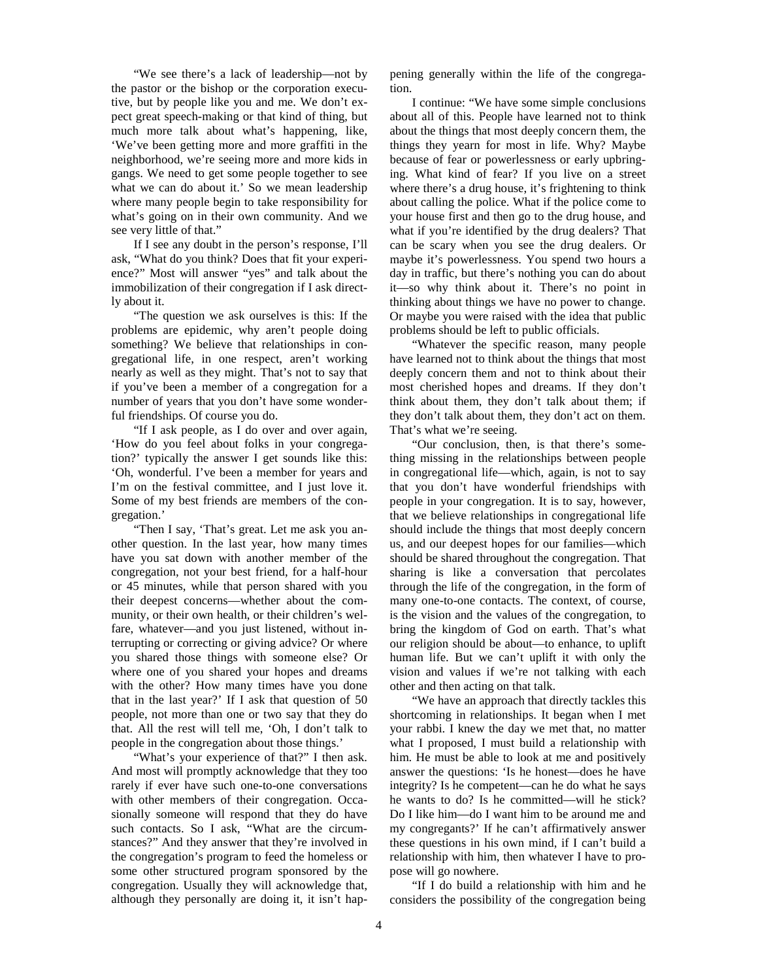"We see there's a lack of leadership—not by the pastor or the bishop or the corporation executive, but by people like you and me. We don't expect great speech-making or that kind of thing, but much more talk about what's happening, like, 'We've been getting more and more graffiti in the neighborhood, we're seeing more and more kids in gangs. We need to get some people together to see what we can do about it.' So we mean leadership where many people begin to take responsibility for what's going on in their own community. And we see very little of that."

If I see any doubt in the person's response, I'll ask, "What do you think? Does that fit your experience?" Most will answer "yes" and talk about the immobilization of their congregation if I ask directly about it.

"The question we ask ourselves is this: If the problems are epidemic, why aren't people doing something? We believe that relationships in congregational life, in one respect, aren't working nearly as well as they might. That's not to say that if you've been a member of a congregation for a number of years that you don't have some wonderful friendships. Of course you do.

"If I ask people, as I do over and over again, 'How do you feel about folks in your congregation?' typically the answer I get sounds like this: 'Oh, wonderful. I've been a member for years and I'm on the festival committee, and I just love it. Some of my best friends are members of the congregation.'

"Then I say, 'That's great. Let me ask you another question. In the last year, how many times have you sat down with another member of the congregation, not your best friend, for a half-hour or 45 minutes, while that person shared with you their deepest concerns—whether about the community, or their own health, or their children's welfare, whatever—and you just listened, without interrupting or correcting or giving advice? Or where you shared those things with someone else? Or where one of you shared your hopes and dreams with the other? How many times have you done that in the last year?' If I ask that question of 50 people, not more than one or two say that they do that. All the rest will tell me, 'Oh, I don't talk to people in the congregation about those things.'

"What's your experience of that?" I then ask. And most will promptly acknowledge that they too rarely if ever have such one-to-one conversations with other members of their congregation. Occasionally someone will respond that they do have such contacts. So I ask, "What are the circumstances?" And they answer that they're involved in the congregation's program to feed the homeless or some other structured program sponsored by the congregation. Usually they will acknowledge that, although they personally are doing it, it isn't happening generally within the life of the congregation.

I continue: "We have some simple conclusions about all of this. People have learned not to think about the things that most deeply concern them, the things they yearn for most in life. Why? Maybe because of fear or powerlessness or early upbringing. What kind of fear? If you live on a street where there's a drug house, it's frightening to think about calling the police. What if the police come to your house first and then go to the drug house, and what if you're identified by the drug dealers? That can be scary when you see the drug dealers. Or maybe it's powerlessness. You spend two hours a day in traffic, but there's nothing you can do about it—so why think about it. There's no point in thinking about things we have no power to change. Or maybe you were raised with the idea that public problems should be left to public officials.

"Whatever the specific reason, many people have learned not to think about the things that most deeply concern them and not to think about their most cherished hopes and dreams. If they don't think about them, they don't talk about them; if they don't talk about them, they don't act on them. That's what we're seeing.

"Our conclusion, then, is that there's something missing in the relationships between people in congregational life—which, again, is not to say that you don't have wonderful friendships with people in your congregation. It is to say, however, that we believe relationships in congregational life should include the things that most deeply concern us, and our deepest hopes for our families—which should be shared throughout the congregation. That sharing is like a conversation that percolates through the life of the congregation, in the form of many one-to-one contacts. The context, of course, is the vision and the values of the congregation, to bring the kingdom of God on earth. That's what our religion should be about—to enhance, to uplift human life. But we can't uplift it with only the vision and values if we're not talking with each other and then acting on that talk.

"We have an approach that directly tackles this shortcoming in relationships. It began when I met your rabbi. I knew the day we met that, no matter what I proposed, I must build a relationship with him. He must be able to look at me and positively answer the questions: 'Is he honest—does he have integrity? Is he competent—can he do what he says he wants to do? Is he committed—will he stick? Do I like him—do I want him to be around me and my congregants?' If he can't affirmatively answer these questions in his own mind, if I can't build a relationship with him, then whatever I have to propose will go nowhere.

"If I do build a relationship with him and he considers the possibility of the congregation being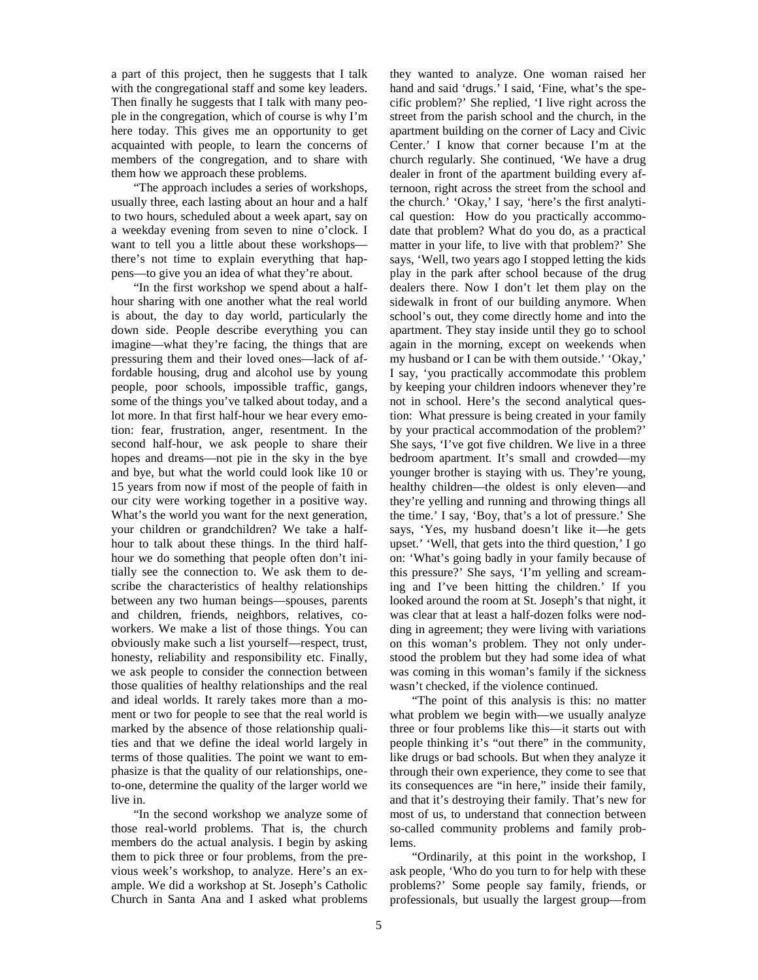a part of this project, then he suggests that I talk with the congregational staff and some key leaders. Then finally he suggests that I talk with many people in the congregation, which of course is why I'm here today. This gives me an opportunity to get acquainted with people, to learn the concerns of members of the congregation, and to share with them how we approach these problems.

"The approach includes a series of workshops, usually three, each lasting about an hour and a half to two hours, scheduled about a week apart, say on a weekday evening from seven to nine o'clock. I want to tell you a little about these workshops there's not time to explain everything that happens—to give you an idea of what they're about.

"In the first workshop we spend about a halfhour sharing with one another what the real world is about, the day to day world, particularly the down side. People describe everything you can imagine—what they're facing, the things that are pressuring them and their loved ones—lack of affordable housing, drug and alcohol use by young people, poor schools, impossible traffic, gangs, some of the things you've talked about today, and a lot more. In that first half-hour we hear every emotion: fear, frustration, anger, resentment. In the second half-hour, we ask people to share their hopes and dreams—not pie in the sky in the bye and bye, but what the world could look like 10 or 15 years from now if most of the people of faith in our city were working together in a positive way. What's the world you want for the next generation, your children or grandchildren? We take a halfhour to talk about these things. In the third halfhour we do something that people often don't initially see the connection to. We ask them to describe the characteristics of healthy relationships between any two human beings—spouses, parents and children, friends, neighbors, relatives, coworkers. We make a list of those things. You can obviously make such a list yourself—respect, trust, honesty, reliability and responsibility etc. Finally, we ask people to consider the connection between those qualities of healthy relationships and the real and ideal worlds. It rarely takes more than a moment or two for people to see that the real world is marked by the absence of those relationship qualities and that we define the ideal world largely in terms of those qualities. The point we want to emphasize is that the quality of our relationships, oneto-one, determine the quality of the larger world we live in.

"In the second workshop we analyze some of those real-world problems. That is, the church members do the actual analysis. I begin by asking them to pick three or four problems, from the previous week's workshop, to analyze. Here's an example. We did a workshop at St. Joseph's Catholic Church in Santa Ana and I asked what problems

they wanted to analyze. One woman raised her hand and said 'drugs.' I said, 'Fine, what's the specific problem?' She replied, 'I live right across the street from the parish school and the church, in the apartment building on the corner of Lacy and Civic Center.' I know that corner because I'm at the church regularly. She continued, 'We have a drug dealer in front of the apartment building every afternoon, right across the street from the school and the church.' 'Okay,' I say, 'here's the first analytical question: How do you practically accommodate that problem? What do you do, as a practical matter in your life, to live with that problem?' She says, 'Well, two years ago I stopped letting the kids play in the park after school because of the drug dealers there. Now I don't let them play on the sidewalk in front of our building anymore. When school's out, they come directly home and into the apartment. They stay inside until they go to school again in the morning, except on weekends when my husband or I can be with them outside.' 'Okay,' I say, 'you practically accommodate this problem by keeping your children indoors whenever they're not in school. Here's the second analytical question: What pressure is being created in your family by your practical accommodation of the problem?' She says, 'I've got five children. We live in a three bedroom apartment. It's small and crowded—my younger brother is staying with us. They're young, healthy children—the oldest is only eleven—and they're yelling and running and throwing things all the time.' I say, 'Boy, that's a lot of pressure.' She says, 'Yes, my husband doesn't like it—he gets upset.' 'Well, that gets into the third question,' I go on: 'What's going badly in your family because of this pressure?' She says, 'I'm yelling and screaming and I've been hitting the children.' If you looked around the room at St. Joseph's that night, it was clear that at least a half-dozen folks were nodding in agreement; they were living with variations on this woman's problem. They not only understood the problem but they had some idea of what was coming in this woman's family if the sickness wasn't checked, if the violence continued.

"The point of this analysis is this: no matter what problem we begin with—we usually analyze three or four problems like this—it starts out with people thinking it's "out there" in the community, like drugs or bad schools. But when they analyze it through their own experience, they come to see that its consequences are "in here," inside their family, and that it's destroying their family. That's new for most of us, to understand that connection between so-called community problems and family problems.

"Ordinarily, at this point in the workshop, I ask people, 'Who do you turn to for help with these problems?' Some people say family, friends, or professionals, but usually the largest group—from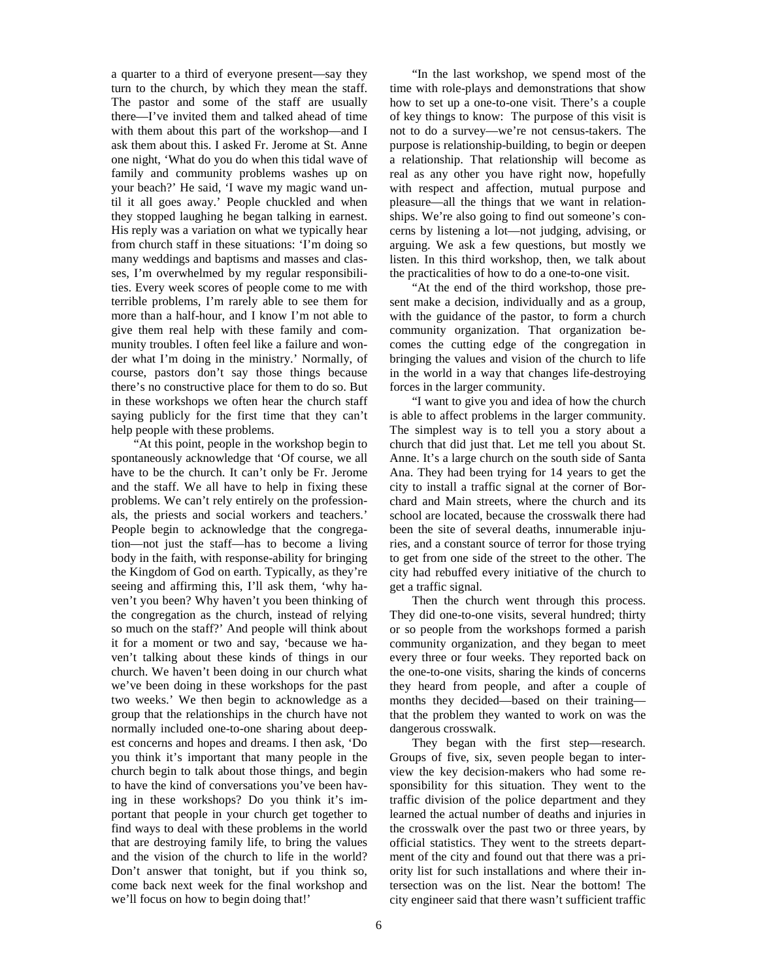a quarter to a third of everyone present—say they turn to the church, by which they mean the staff. The pastor and some of the staff are usually there—I've invited them and talked ahead of time with them about this part of the workshop—and I ask them about this. I asked Fr. Jerome at St. Anne one night, 'What do you do when this tidal wave of family and community problems washes up on your beach?' He said, 'I wave my magic wand until it all goes away.' People chuckled and when they stopped laughing he began talking in earnest. His reply was a variation on what we typically hear from church staff in these situations: 'I'm doing so many weddings and baptisms and masses and classes, I'm overwhelmed by my regular responsibilities. Every week scores of people come to me with terrible problems, I'm rarely able to see them for more than a half-hour, and I know I'm not able to give them real help with these family and community troubles. I often feel like a failure and wonder what I'm doing in the ministry.' Normally, of course, pastors don't say those things because there's no constructive place for them to do so. But in these workshops we often hear the church staff saying publicly for the first time that they can't help people with these problems.

"At this point, people in the workshop begin to spontaneously acknowledge that 'Of course, we all have to be the church. It can't only be Fr. Jerome and the staff. We all have to help in fixing these problems. We can't rely entirely on the professionals, the priests and social workers and teachers.' People begin to acknowledge that the congregation—not just the staff—has to become a living body in the faith, with response-ability for bringing the Kingdom of God on earth. Typically, as they're seeing and affirming this, I'll ask them, 'why haven't you been? Why haven't you been thinking of the congregation as the church, instead of relying so much on the staff?' And people will think about it for a moment or two and say, 'because we haven't talking about these kinds of things in our church. We haven't been doing in our church what we've been doing in these workshops for the past two weeks.' We then begin to acknowledge as a group that the relationships in the church have not normally included one-to-one sharing about deepest concerns and hopes and dreams. I then ask, 'Do you think it's important that many people in the church begin to talk about those things, and begin to have the kind of conversations you've been having in these workshops? Do you think it's important that people in your church get together to find ways to deal with these problems in the world that are destroying family life, to bring the values and the vision of the church to life in the world? Don't answer that tonight, but if you think so, come back next week for the final workshop and we'll focus on how to begin doing that!'

"In the last workshop, we spend most of the time with role-plays and demonstrations that show how to set up a one-to-one visit. There's a couple of key things to know: The purpose of this visit is not to do a survey—we're not census-takers. The purpose is relationship-building, to begin or deepen a relationship. That relationship will become as real as any other you have right now, hopefully with respect and affection, mutual purpose and pleasure—all the things that we want in relationships. We're also going to find out someone's concerns by listening a lot—not judging, advising, or arguing. We ask a few questions, but mostly we listen. In this third workshop, then, we talk about the practicalities of how to do a one-to-one visit.

"At the end of the third workshop, those present make a decision, individually and as a group, with the guidance of the pastor, to form a church community organization. That organization becomes the cutting edge of the congregation in bringing the values and vision of the church to life in the world in a way that changes life-destroying forces in the larger community.

"I want to give you and idea of how the church is able to affect problems in the larger community. The simplest way is to tell you a story about a church that did just that. Let me tell you about St. Anne. It's a large church on the south side of Santa Ana. They had been trying for 14 years to get the city to install a traffic signal at the corner of Borchard and Main streets, where the church and its school are located, because the crosswalk there had been the site of several deaths, innumerable injuries, and a constant source of terror for those trying to get from one side of the street to the other. The city had rebuffed every initiative of the church to get a traffic signal.

Then the church went through this process. They did one-to-one visits, several hundred; thirty or so people from the workshops formed a parish community organization, and they began to meet every three or four weeks. They reported back on the one-to-one visits, sharing the kinds of concerns they heard from people, and after a couple of months they decided—based on their training that the problem they wanted to work on was the dangerous crosswalk.

They began with the first step—research. Groups of five, six, seven people began to interview the key decision-makers who had some responsibility for this situation. They went to the traffic division of the police department and they learned the actual number of deaths and injuries in the crosswalk over the past two or three years, by official statistics. They went to the streets department of the city and found out that there was a priority list for such installations and where their intersection was on the list. Near the bottom! The city engineer said that there wasn't sufficient traffic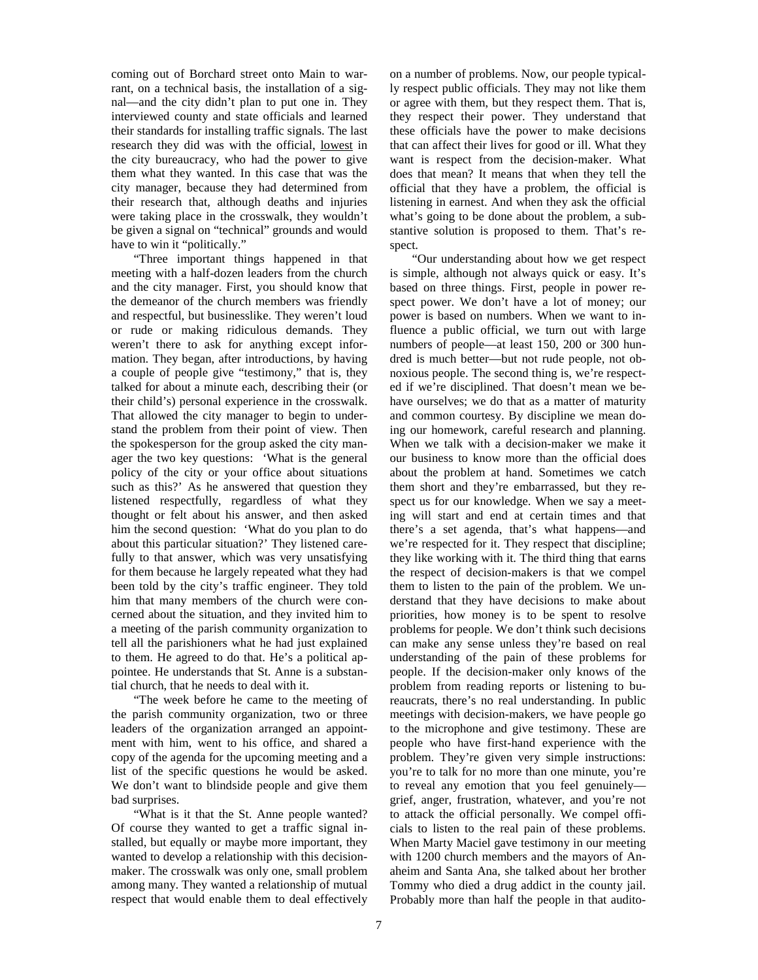coming out of Borchard street onto Main to warrant, on a technical basis, the installation of a signal—and the city didn't plan to put one in. They interviewed county and state officials and learned their standards for installing traffic signals. The last research they did was with the official, lowest in the city bureaucracy, who had the power to give them what they wanted. In this case that was the city manager, because they had determined from their research that, although deaths and injuries were taking place in the crosswalk, they wouldn't be given a signal on "technical" grounds and would have to win it "politically."

"Three important things happened in that meeting with a half-dozen leaders from the church and the city manager. First, you should know that the demeanor of the church members was friendly and respectful, but businesslike. They weren't loud or rude or making ridiculous demands. They weren't there to ask for anything except information. They began, after introductions, by having a couple of people give "testimony," that is, they talked for about a minute each, describing their (or their child's) personal experience in the crosswalk. That allowed the city manager to begin to understand the problem from their point of view. Then the spokesperson for the group asked the city manager the two key questions: 'What is the general policy of the city or your office about situations such as this?' As he answered that question they listened respectfully, regardless of what they thought or felt about his answer, and then asked him the second question: 'What do you plan to do about this particular situation?' They listened carefully to that answer, which was very unsatisfying for them because he largely repeated what they had been told by the city's traffic engineer. They told him that many members of the church were concerned about the situation, and they invited him to a meeting of the parish community organization to tell all the parishioners what he had just explained to them. He agreed to do that. He's a political appointee. He understands that St. Anne is a substantial church, that he needs to deal with it.

"The week before he came to the meeting of the parish community organization, two or three leaders of the organization arranged an appointment with him, went to his office, and shared a copy of the agenda for the upcoming meeting and a list of the specific questions he would be asked. We don't want to blindside people and give them bad surprises.

"What is it that the St. Anne people wanted? Of course they wanted to get a traffic signal installed, but equally or maybe more important, they wanted to develop a relationship with this decisionmaker. The crosswalk was only one, small problem among many. They wanted a relationship of mutual respect that would enable them to deal effectively

on a number of problems. Now, our people typically respect public officials. They may not like them or agree with them, but they respect them. That is, they respect their power. They understand that these officials have the power to make decisions that can affect their lives for good or ill. What they want is respect from the decision-maker. What does that mean? It means that when they tell the official that they have a problem, the official is listening in earnest. And when they ask the official what's going to be done about the problem, a substantive solution is proposed to them. That's respect.

"Our understanding about how we get respect is simple, although not always quick or easy. It's based on three things. First, people in power respect power. We don't have a lot of money; our power is based on numbers. When we want to influence a public official, we turn out with large numbers of people—at least 150, 200 or 300 hundred is much better—but not rude people, not obnoxious people. The second thing is, we're respected if we're disciplined. That doesn't mean we behave ourselves; we do that as a matter of maturity and common courtesy. By discipline we mean doing our homework, careful research and planning. When we talk with a decision-maker we make it our business to know more than the official does about the problem at hand. Sometimes we catch them short and they're embarrassed, but they respect us for our knowledge. When we say a meeting will start and end at certain times and that there's a set agenda, that's what happens—and we're respected for it. They respect that discipline; they like working with it. The third thing that earns the respect of decision-makers is that we compel them to listen to the pain of the problem. We understand that they have decisions to make about priorities, how money is to be spent to resolve problems for people. We don't think such decisions can make any sense unless they're based on real understanding of the pain of these problems for people. If the decision-maker only knows of the problem from reading reports or listening to bureaucrats, there's no real understanding. In public meetings with decision-makers, we have people go to the microphone and give testimony. These are people who have first-hand experience with the problem. They're given very simple instructions: you're to talk for no more than one minute, you're to reveal any emotion that you feel genuinely grief, anger, frustration, whatever, and you're not to attack the official personally. We compel officials to listen to the real pain of these problems. When Marty Maciel gave testimony in our meeting with 1200 church members and the mayors of Anaheim and Santa Ana, she talked about her brother Tommy who died a drug addict in the county jail. Probably more than half the people in that audito-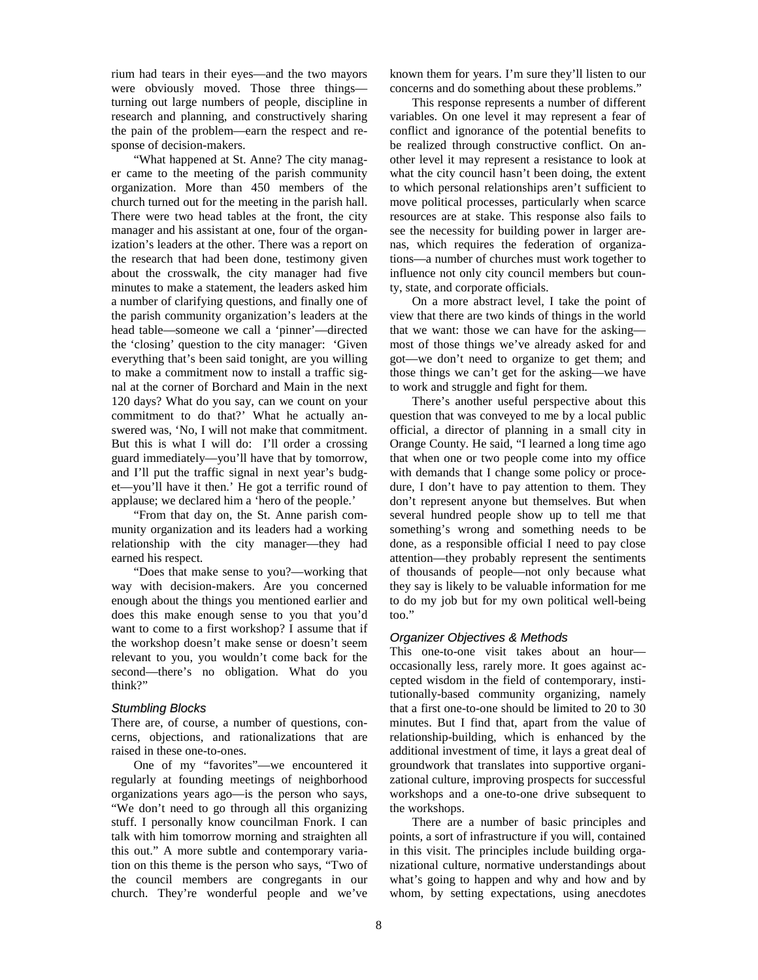rium had tears in their eyes—and the two mayors were obviously moved. Those three things turning out large numbers of people, discipline in research and planning, and constructively sharing the pain of the problem—earn the respect and response of decision-makers.

"What happened at St. Anne? The city manager came to the meeting of the parish community organization. More than 450 members of the church turned out for the meeting in the parish hall. There were two head tables at the front, the city manager and his assistant at one, four of the organization's leaders at the other. There was a report on the research that had been done, testimony given about the crosswalk, the city manager had five minutes to make a statement, the leaders asked him a number of clarifying questions, and finally one of the parish community organization's leaders at the head table—someone we call a 'pinner'—directed the 'closing' question to the city manager: 'Given everything that's been said tonight, are you willing to make a commitment now to install a traffic signal at the corner of Borchard and Main in the next 120 days? What do you say, can we count on your commitment to do that?' What he actually answered was, 'No, I will not make that commitment. But this is what I will do: I'll order a crossing guard immediately—you'll have that by tomorrow, and I'll put the traffic signal in next year's budget—you'll have it then.' He got a terrific round of applause; we declared him a 'hero of the people.'

"From that day on, the St. Anne parish community organization and its leaders had a working relationship with the city manager—they had earned his respect.

"Does that make sense to you?—working that way with decision-makers. Are you concerned enough about the things you mentioned earlier and does this make enough sense to you that you'd want to come to a first workshop? I assume that if the workshop doesn't make sense or doesn't seem relevant to you, you wouldn't come back for the second—there's no obligation. What do you think?"

#### *Stumbling Blocks*

There are, of course, a number of questions, concerns, objections, and rationalizations that are raised in these one-to-ones.

One of my "favorites"—we encountered it regularly at founding meetings of neighborhood organizations years ago—is the person who says, "We don't need to go through all this organizing stuff. I personally know councilman Fnork. I can talk with him tomorrow morning and straighten all this out." A more subtle and contemporary variation on this theme is the person who says, "Two of the council members are congregants in our church. They're wonderful people and we've

known them for years. I'm sure they'll listen to our concerns and do something about these problems."

This response represents a number of different variables. On one level it may represent a fear of conflict and ignorance of the potential benefits to be realized through constructive conflict. On another level it may represent a resistance to look at what the city council hasn't been doing, the extent to which personal relationships aren't sufficient to move political processes, particularly when scarce resources are at stake. This response also fails to see the necessity for building power in larger arenas, which requires the federation of organizations—a number of churches must work together to influence not only city council members but county, state, and corporate officials.

On a more abstract level, I take the point of view that there are two kinds of things in the world that we want: those we can have for the asking most of those things we've already asked for and got—we don't need to organize to get them; and those things we can't get for the asking—we have to work and struggle and fight for them.

There's another useful perspective about this question that was conveyed to me by a local public official, a director of planning in a small city in Orange County. He said, "I learned a long time ago that when one or two people come into my office with demands that I change some policy or procedure, I don't have to pay attention to them. They don't represent anyone but themselves. But when several hundred people show up to tell me that something's wrong and something needs to be done, as a responsible official I need to pay close attention—they probably represent the sentiments of thousands of people—not only because what they say is likely to be valuable information for me to do my job but for my own political well-being too."

#### *Organizer Objectives & Methods*

This one-to-one visit takes about an hour occasionally less, rarely more. It goes against accepted wisdom in the field of contemporary, institutionally-based community organizing, namely that a first one-to-one should be limited to 20 to 30 minutes. But I find that, apart from the value of relationship-building, which is enhanced by the additional investment of time, it lays a great deal of groundwork that translates into supportive organizational culture, improving prospects for successful workshops and a one-to-one drive subsequent to the workshops.

There are a number of basic principles and points, a sort of infrastructure if you will, contained in this visit. The principles include building organizational culture, normative understandings about what's going to happen and why and how and by whom, by setting expectations, using anecdotes